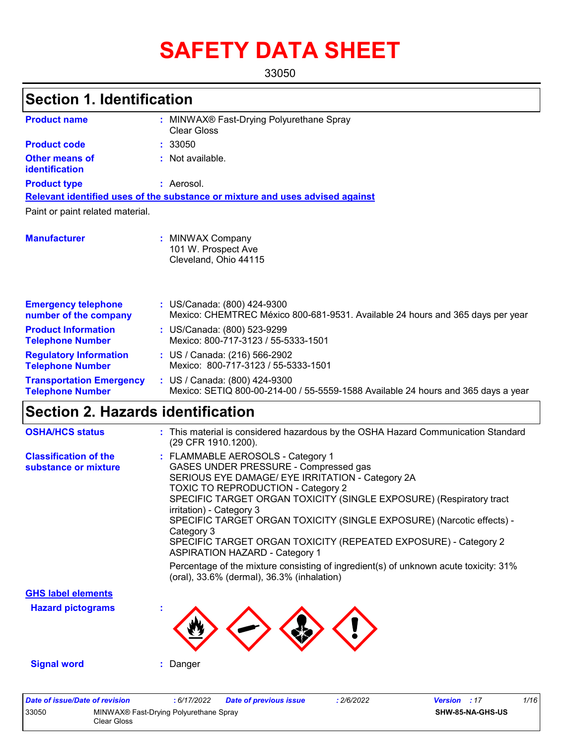# **SAFETY DATA SHEET**

33050

# **Section 1. Identification**

| <b>Product name</b>                                        | MINWAX® Fast-Drying Polyurethane Spray<br>Clear Gloss                                                              |
|------------------------------------------------------------|--------------------------------------------------------------------------------------------------------------------|
| <b>Product code</b>                                        | : 33050                                                                                                            |
| Other means of<br>identification                           | : Not available.                                                                                                   |
| <b>Product type</b>                                        | : Aerosol.                                                                                                         |
|                                                            | Relevant identified uses of the substance or mixture and uses advised against                                      |
| Paint or paint related material.                           |                                                                                                                    |
| <b>Manufacturer</b>                                        | : MINWAX Company<br>101 W. Prospect Ave<br>Cleveland, Ohio 44115                                                   |
| <b>Emergency telephone</b><br>number of the company        | : US/Canada: (800) 424-9300<br>Mexico: CHEMTREC México 800-681-9531. Available 24 hours and 365 days per year      |
| <b>Product Information</b><br><b>Telephone Number</b>      | : US/Canada: (800) 523-9299<br>Mexico: 800-717-3123 / 55-5333-1501                                                 |
| <b>Regulatory Information</b><br><b>Telephone Number</b>   | : US / Canada: (216) 566-2902<br>Mexico: 800-717-3123 / 55-5333-1501                                               |
| <b>Transportation Emergency</b><br><b>Telephone Number</b> | : US / Canada: (800) 424-9300<br>Mexico: SETIQ 800-00-214-00 / 55-5559-1588 Available 24 hours and 365 days a year |

# **Section 2. Hazards identification**

| <b>OSHA/HCS status</b>                               | : This material is considered hazardous by the OSHA Hazard Communication Standard<br>(29 CFR 1910.1200).                                                                                                                                                                                                                                                                                                                                                                                                                                                                                                         |
|------------------------------------------------------|------------------------------------------------------------------------------------------------------------------------------------------------------------------------------------------------------------------------------------------------------------------------------------------------------------------------------------------------------------------------------------------------------------------------------------------------------------------------------------------------------------------------------------------------------------------------------------------------------------------|
| <b>Classification of the</b><br>substance or mixture | : FLAMMABLE AEROSOLS - Category 1<br>GASES UNDER PRESSURE - Compressed gas<br>SERIOUS EYE DAMAGE/ EYE IRRITATION - Category 2A<br>TOXIC TO REPRODUCTION - Category 2<br>SPECIFIC TARGET ORGAN TOXICITY (SINGLE EXPOSURE) (Respiratory tract<br>irritation) - Category 3<br>SPECIFIC TARGET ORGAN TOXICITY (SINGLE EXPOSURE) (Narcotic effects) -<br>Category 3<br>SPECIFIC TARGET ORGAN TOXICITY (REPEATED EXPOSURE) - Category 2<br><b>ASPIRATION HAZARD - Category 1</b><br>Percentage of the mixture consisting of ingredient(s) of unknown acute toxicity: 31%<br>(oral), 33.6% (dermal), 36.3% (inhalation) |
| <b>GHS label elements</b>                            |                                                                                                                                                                                                                                                                                                                                                                                                                                                                                                                                                                                                                  |
| <b>Hazard pictograms</b>                             |                                                                                                                                                                                                                                                                                                                                                                                                                                                                                                                                                                                                                  |
| <b>Signal word</b>                                   | : Danger                                                                                                                                                                                                                                                                                                                                                                                                                                                                                                                                                                                                         |

| Date of issue/Date of revision |                                                       | : 6/17/2022 | <b>Date of previous issue</b> | 2/6/2022 | <b>Version</b> : 17 |                         | 1/16 |
|--------------------------------|-------------------------------------------------------|-------------|-------------------------------|----------|---------------------|-------------------------|------|
| 33050                          | MINWAX® Fast-Drying Polyurethane Spray<br>Clear Gloss |             |                               |          |                     | <b>SHW-85-NA-GHS-US</b> |      |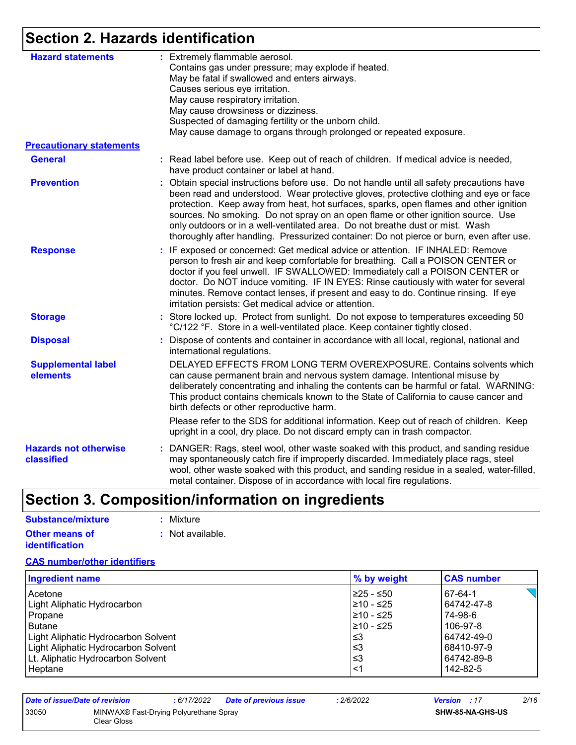# **Section 2. Hazards identification**

| <b>Hazard statements</b>                   | : Extremely flammable aerosol.<br>Contains gas under pressure; may explode if heated.<br>May be fatal if swallowed and enters airways.<br>Causes serious eye irritation.<br>May cause respiratory irritation.<br>May cause drowsiness or dizziness.<br>Suspected of damaging fertility or the unborn child.<br>May cause damage to organs through prolonged or repeated exposure.                                                                                                                                                            |
|--------------------------------------------|----------------------------------------------------------------------------------------------------------------------------------------------------------------------------------------------------------------------------------------------------------------------------------------------------------------------------------------------------------------------------------------------------------------------------------------------------------------------------------------------------------------------------------------------|
| <b>Precautionary statements</b>            |                                                                                                                                                                                                                                                                                                                                                                                                                                                                                                                                              |
| <b>General</b>                             | : Read label before use. Keep out of reach of children. If medical advice is needed,<br>have product container or label at hand.                                                                                                                                                                                                                                                                                                                                                                                                             |
| <b>Prevention</b>                          | : Obtain special instructions before use. Do not handle until all safety precautions have<br>been read and understood. Wear protective gloves, protective clothing and eye or face<br>protection. Keep away from heat, hot surfaces, sparks, open flames and other ignition<br>sources. No smoking. Do not spray on an open flame or other ignition source. Use<br>only outdoors or in a well-ventilated area. Do not breathe dust or mist. Wash<br>thoroughly after handling. Pressurized container: Do not pierce or burn, even after use. |
| <b>Response</b>                            | : IF exposed or concerned: Get medical advice or attention. IF INHALED: Remove<br>person to fresh air and keep comfortable for breathing. Call a POISON CENTER or<br>doctor if you feel unwell. IF SWALLOWED: Immediately call a POISON CENTER or<br>doctor. Do NOT induce vomiting. IF IN EYES: Rinse cautiously with water for several<br>minutes. Remove contact lenses, if present and easy to do. Continue rinsing. If eye<br>irritation persists: Get medical advice or attention.                                                     |
| <b>Storage</b>                             | : Store locked up. Protect from sunlight. Do not expose to temperatures exceeding 50<br>°C/122 °F. Store in a well-ventilated place. Keep container tightly closed.                                                                                                                                                                                                                                                                                                                                                                          |
| <b>Disposal</b>                            | Dispose of contents and container in accordance with all local, regional, national and<br>international regulations.                                                                                                                                                                                                                                                                                                                                                                                                                         |
| <b>Supplemental label</b><br>elements      | DELAYED EFFECTS FROM LONG TERM OVEREXPOSURE. Contains solvents which<br>can cause permanent brain and nervous system damage. Intentional misuse by<br>deliberately concentrating and inhaling the contents can be harmful or fatal. WARNING:<br>This product contains chemicals known to the State of California to cause cancer and<br>birth defects or other reproductive harm.                                                                                                                                                            |
|                                            | Please refer to the SDS for additional information. Keep out of reach of children. Keep<br>upright in a cool, dry place. Do not discard empty can in trash compactor.                                                                                                                                                                                                                                                                                                                                                                        |
| <b>Hazards not otherwise</b><br>classified | : DANGER: Rags, steel wool, other waste soaked with this product, and sanding residue<br>may spontaneously catch fire if improperly discarded. Immediately place rags, steel<br>wool, other waste soaked with this product, and sanding residue in a sealed, water-filled,<br>metal container. Dispose of in accordance with local fire regulations.                                                                                                                                                                                         |

# **Section 3. Composition/information on ingredients**

| Substance/mixture     | : Mixture        |
|-----------------------|------------------|
| <b>Other means of</b> | : Not available. |
| <b>identification</b> |                  |

#### **CAS number/other identifiers**

| <b>Ingredient name</b>              | % by weight | <b>CAS number</b> |
|-------------------------------------|-------------|-------------------|
| l Acetone                           | I≥25 - ≤50  | 67-64-1           |
| Light Aliphatic Hydrocarbon         | 210 - ≤25   | 64742-47-8        |
| l Propane                           | 210 - ≤25   | 74-98-6           |
| Butane                              | 210 - ≤25   | 106-97-8          |
| Light Aliphatic Hydrocarbon Solvent | l≤3         | 64742-49-0        |
| Light Aliphatic Hydrocarbon Solvent | l≤3         | 68410-97-9        |
| Lt. Aliphatic Hydrocarbon Solvent   | l≤3         | 64742-89-8        |
| Heptane                             | $<$ 1       | 142-82-5          |

| Date of issue/Date of revision |                                                       | : 6/17/2022 | <b>Date of previous issue</b> | : 2/6/2022 | <b>Version</b> : 17     |  | 2/16 |
|--------------------------------|-------------------------------------------------------|-------------|-------------------------------|------------|-------------------------|--|------|
| 33050                          | MINWAX® Fast-Drying Polyurethane Spray<br>Clear Gloss |             |                               |            | <b>SHW-85-NA-GHS-US</b> |  |      |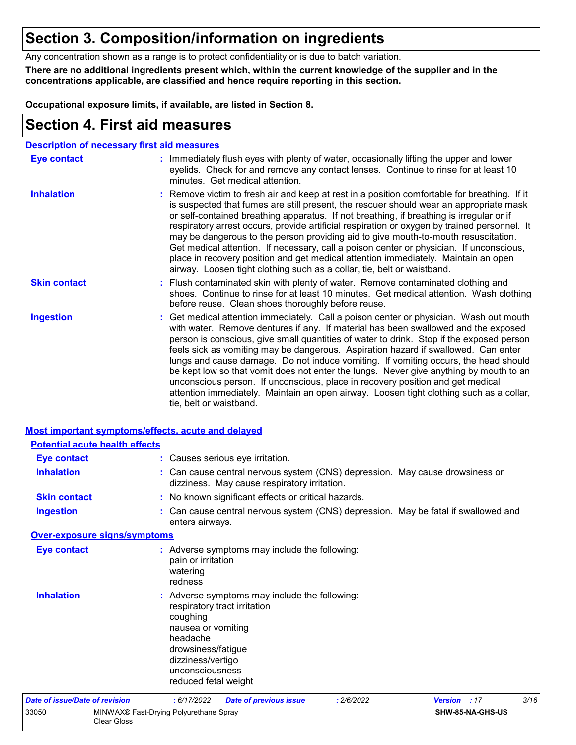### **Section 3. Composition/information on ingredients**

Any concentration shown as a range is to protect confidentiality or is due to batch variation.

**There are no additional ingredients present which, within the current knowledge of the supplier and in the concentrations applicable, are classified and hence require reporting in this section.**

**Occupational exposure limits, if available, are listed in Section 8.**

### **Section 4. First aid measures**

| <b>Description of necessary first aid measures</b> |                                                                                                                                                                                                                                                                                                                                                                                                                                                                                                                                                                                                                                                                                                                                                         |
|----------------------------------------------------|---------------------------------------------------------------------------------------------------------------------------------------------------------------------------------------------------------------------------------------------------------------------------------------------------------------------------------------------------------------------------------------------------------------------------------------------------------------------------------------------------------------------------------------------------------------------------------------------------------------------------------------------------------------------------------------------------------------------------------------------------------|
| <b>Eye contact</b>                                 | : Immediately flush eyes with plenty of water, occasionally lifting the upper and lower<br>eyelids. Check for and remove any contact lenses. Continue to rinse for at least 10<br>minutes. Get medical attention.                                                                                                                                                                                                                                                                                                                                                                                                                                                                                                                                       |
| <b>Inhalation</b>                                  | : Remove victim to fresh air and keep at rest in a position comfortable for breathing. If it<br>is suspected that fumes are still present, the rescuer should wear an appropriate mask<br>or self-contained breathing apparatus. If not breathing, if breathing is irregular or if<br>respiratory arrest occurs, provide artificial respiration or oxygen by trained personnel. It<br>may be dangerous to the person providing aid to give mouth-to-mouth resuscitation.<br>Get medical attention. If necessary, call a poison center or physician. If unconscious,<br>place in recovery position and get medical attention immediately. Maintain an open<br>airway. Loosen tight clothing such as a collar, tie, belt or waistband.                    |
| <b>Skin contact</b>                                | : Flush contaminated skin with plenty of water. Remove contaminated clothing and<br>shoes. Continue to rinse for at least 10 minutes. Get medical attention. Wash clothing<br>before reuse. Clean shoes thoroughly before reuse.                                                                                                                                                                                                                                                                                                                                                                                                                                                                                                                        |
| <b>Ingestion</b>                                   | : Get medical attention immediately. Call a poison center or physician. Wash out mouth<br>with water. Remove dentures if any. If material has been swallowed and the exposed<br>person is conscious, give small quantities of water to drink. Stop if the exposed person<br>feels sick as vomiting may be dangerous. Aspiration hazard if swallowed. Can enter<br>lungs and cause damage. Do not induce vomiting. If vomiting occurs, the head should<br>be kept low so that vomit does not enter the lungs. Never give anything by mouth to an<br>unconscious person. If unconscious, place in recovery position and get medical<br>attention immediately. Maintain an open airway. Loosen tight clothing such as a collar,<br>tie, belt or waistband. |

|                                | <b>Most important symptoms/effects, acute and delayed</b>                                                                                                                                                         |
|--------------------------------|-------------------------------------------------------------------------------------------------------------------------------------------------------------------------------------------------------------------|
|                                | <b>Potential acute health effects</b>                                                                                                                                                                             |
| <b>Eye contact</b>             | : Causes serious eye irritation.                                                                                                                                                                                  |
| <b>Inhalation</b>              | : Can cause central nervous system (CNS) depression. May cause drowsiness or<br>dizziness. May cause respiratory irritation.                                                                                      |
| <b>Skin contact</b>            | : No known significant effects or critical hazards.                                                                                                                                                               |
| <b>Ingestion</b>               | : Can cause central nervous system (CNS) depression. May be fatal if swallowed and<br>enters airways.                                                                                                             |
|                                | Over-exposure signs/symptoms                                                                                                                                                                                      |
| <b>Eye contact</b>             | : Adverse symptoms may include the following:<br>pain or irritation<br>watering<br>redness                                                                                                                        |
| <b>Inhalation</b>              | : Adverse symptoms may include the following:<br>respiratory tract irritation<br>coughing<br>nausea or vomiting<br>headache<br>drowsiness/fatigue<br>dizziness/vertigo<br>unconsciousness<br>reduced fetal weight |
| Date of issue/Date of revision | 3/16<br>: 6/17/2022<br>: 2/6/2022<br><b>Version</b> : 17<br><b>Date of previous issue</b>                                                                                                                         |
| 33050                          | MINWAX® Fast-Drying Polyurethane Spray<br>SHW-85-NA-GHS-US<br><b>Clear Gloss</b>                                                                                                                                  |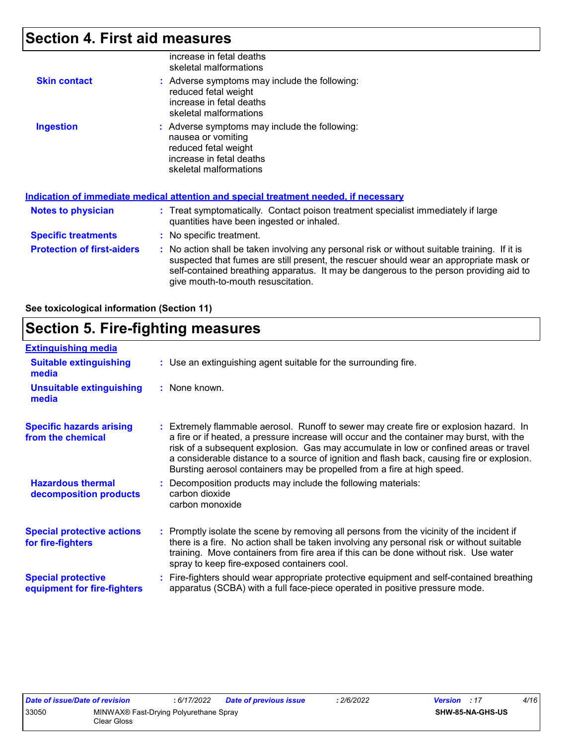### **Section 4. First aid measures**

|                                   | increase in fetal deaths<br>skeletal malformations                                                                                                                                                                                                                                                                      |  |
|-----------------------------------|-------------------------------------------------------------------------------------------------------------------------------------------------------------------------------------------------------------------------------------------------------------------------------------------------------------------------|--|
| <b>Skin contact</b>               | : Adverse symptoms may include the following:<br>reduced fetal weight<br>increase in fetal deaths<br>skeletal malformations                                                                                                                                                                                             |  |
| <b>Ingestion</b>                  | : Adverse symptoms may include the following:<br>nausea or vomiting<br>reduced fetal weight<br>increase in fetal deaths<br>skeletal malformations                                                                                                                                                                       |  |
|                                   | <b>Indication of immediate medical attention and special treatment needed, if necessary</b>                                                                                                                                                                                                                             |  |
| <b>Notes to physician</b>         | : Treat symptomatically. Contact poison treatment specialist immediately if large<br>quantities have been ingested or inhaled.                                                                                                                                                                                          |  |
| <b>Specific treatments</b>        | : No specific treatment.                                                                                                                                                                                                                                                                                                |  |
| <b>Protection of first-aiders</b> | : No action shall be taken involving any personal risk or without suitable training. If it is<br>suspected that fumes are still present, the rescuer should wear an appropriate mask or<br>self-contained breathing apparatus. It may be dangerous to the person providing aid to<br>give mouth-to-mouth resuscitation. |  |
|                                   |                                                                                                                                                                                                                                                                                                                         |  |

**See toxicological information (Section 11)**

# **Section 5. Fire-fighting measures**

| <b>Extinguishing media</b>                               |                                                                                                                                                                                                                                                                                                                                                                                                                                                       |
|----------------------------------------------------------|-------------------------------------------------------------------------------------------------------------------------------------------------------------------------------------------------------------------------------------------------------------------------------------------------------------------------------------------------------------------------------------------------------------------------------------------------------|
| <b>Suitable extinguishing</b><br>media                   | : Use an extinguishing agent suitable for the surrounding fire.                                                                                                                                                                                                                                                                                                                                                                                       |
| <b>Unsuitable extinguishing</b><br>media                 | : None known.                                                                                                                                                                                                                                                                                                                                                                                                                                         |
| <b>Specific hazards arising</b><br>from the chemical     | : Extremely flammable aerosol. Runoff to sewer may create fire or explosion hazard. In<br>a fire or if heated, a pressure increase will occur and the container may burst, with the<br>risk of a subsequent explosion. Gas may accumulate in low or confined areas or travel<br>a considerable distance to a source of ignition and flash back, causing fire or explosion.<br>Bursting aerosol containers may be propelled from a fire at high speed. |
| <b>Hazardous thermal</b><br>decomposition products       | Decomposition products may include the following materials:<br>carbon dioxide<br>carbon monoxide                                                                                                                                                                                                                                                                                                                                                      |
| <b>Special protective actions</b><br>for fire-fighters   | : Promptly isolate the scene by removing all persons from the vicinity of the incident if<br>there is a fire. No action shall be taken involving any personal risk or without suitable<br>training. Move containers from fire area if this can be done without risk. Use water<br>spray to keep fire-exposed containers cool.                                                                                                                         |
| <b>Special protective</b><br>equipment for fire-fighters | Fire-fighters should wear appropriate protective equipment and self-contained breathing<br>apparatus (SCBA) with a full face-piece operated in positive pressure mode.                                                                                                                                                                                                                                                                                |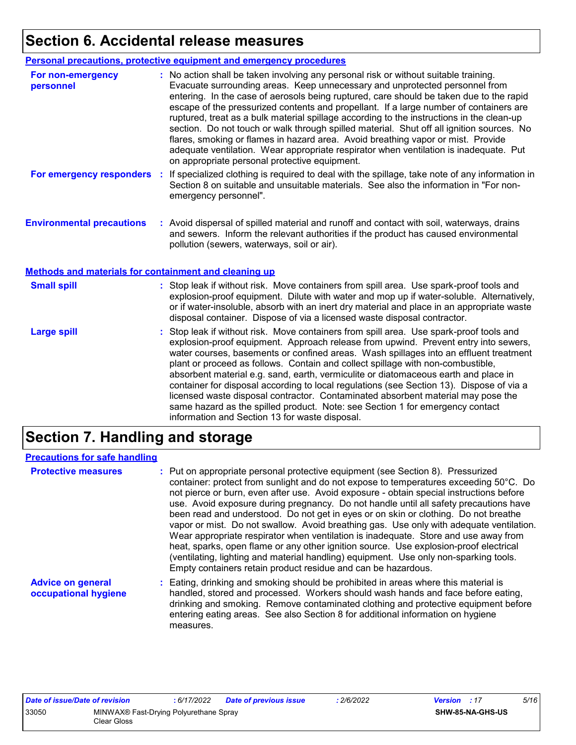### **Section 6. Accidental release measures**

|                                                              | Personal precautions, protective equipment and emergency procedures                                                                                                                                                                                                                                                                                                                                                                                                                                                                                                                                                                                                                                                                                                              |
|--------------------------------------------------------------|----------------------------------------------------------------------------------------------------------------------------------------------------------------------------------------------------------------------------------------------------------------------------------------------------------------------------------------------------------------------------------------------------------------------------------------------------------------------------------------------------------------------------------------------------------------------------------------------------------------------------------------------------------------------------------------------------------------------------------------------------------------------------------|
| For non-emergency<br>personnel                               | : No action shall be taken involving any personal risk or without suitable training.<br>Evacuate surrounding areas. Keep unnecessary and unprotected personnel from<br>entering. In the case of aerosols being ruptured, care should be taken due to the rapid<br>escape of the pressurized contents and propellant. If a large number of containers are<br>ruptured, treat as a bulk material spillage according to the instructions in the clean-up<br>section. Do not touch or walk through spilled material. Shut off all ignition sources. No<br>flares, smoking or flames in hazard area. Avoid breathing vapor or mist. Provide<br>adequate ventilation. Wear appropriate respirator when ventilation is inadequate. Put<br>on appropriate personal protective equipment. |
| For emergency responders                                     | If specialized clothing is required to deal with the spillage, take note of any information in<br>÷.<br>Section 8 on suitable and unsuitable materials. See also the information in "For non-<br>emergency personnel".                                                                                                                                                                                                                                                                                                                                                                                                                                                                                                                                                           |
| <b>Environmental precautions</b>                             | : Avoid dispersal of spilled material and runoff and contact with soil, waterways, drains<br>and sewers. Inform the relevant authorities if the product has caused environmental<br>pollution (sewers, waterways, soil or air).                                                                                                                                                                                                                                                                                                                                                                                                                                                                                                                                                  |
| <b>Methods and materials for containment and cleaning up</b> |                                                                                                                                                                                                                                                                                                                                                                                                                                                                                                                                                                                                                                                                                                                                                                                  |
| <b>Small spill</b>                                           | : Stop leak if without risk. Move containers from spill area. Use spark-proof tools and<br>explosion-proof equipment. Dilute with water and mop up if water-soluble. Alternatively,<br>or if water-insoluble, absorb with an inert dry material and place in an appropriate waste<br>disposal container. Dispose of via a licensed waste disposal contractor.                                                                                                                                                                                                                                                                                                                                                                                                                    |
| <b>Large spill</b>                                           | : Stop leak if without risk. Move containers from spill area. Use spark-proof tools and<br>explosion-proof equipment. Approach release from upwind. Prevent entry into sewers,<br>water courses, basements or confined areas. Wash spillages into an effluent treatment<br>plant or proceed as follows. Contain and collect spillage with non-combustible,<br>absorbent material e.g. sand, earth, vermiculite or diatomaceous earth and place in<br>container for disposal according to local regulations (see Section 13). Dispose of via a<br>licensed waste disposal contractor. Contaminated absorbent material may pose the<br>same hazard as the spilled product. Note: see Section 1 for emergency contact<br>information and Section 13 for waste disposal.             |

# **Section 7. Handling and storage**

#### **Precautions for safe handling**

| <b>Protective measures</b>                       | : Put on appropriate personal protective equipment (see Section 8). Pressurized<br>container: protect from sunlight and do not expose to temperatures exceeding 50°C. Do<br>not pierce or burn, even after use. Avoid exposure - obtain special instructions before<br>use. Avoid exposure during pregnancy. Do not handle until all safety precautions have<br>been read and understood. Do not get in eyes or on skin or clothing. Do not breathe<br>vapor or mist. Do not swallow. Avoid breathing gas. Use only with adequate ventilation.<br>Wear appropriate respirator when ventilation is inadequate. Store and use away from<br>heat, sparks, open flame or any other ignition source. Use explosion-proof electrical<br>(ventilating, lighting and material handling) equipment. Use only non-sparking tools.<br>Empty containers retain product residue and can be hazardous. |
|--------------------------------------------------|------------------------------------------------------------------------------------------------------------------------------------------------------------------------------------------------------------------------------------------------------------------------------------------------------------------------------------------------------------------------------------------------------------------------------------------------------------------------------------------------------------------------------------------------------------------------------------------------------------------------------------------------------------------------------------------------------------------------------------------------------------------------------------------------------------------------------------------------------------------------------------------|
| <b>Advice on general</b><br>occupational hygiene | : Eating, drinking and smoking should be prohibited in areas where this material is<br>handled, stored and processed. Workers should wash hands and face before eating,<br>drinking and smoking. Remove contaminated clothing and protective equipment before<br>entering eating areas. See also Section 8 for additional information on hygiene<br>measures.                                                                                                                                                                                                                                                                                                                                                                                                                                                                                                                            |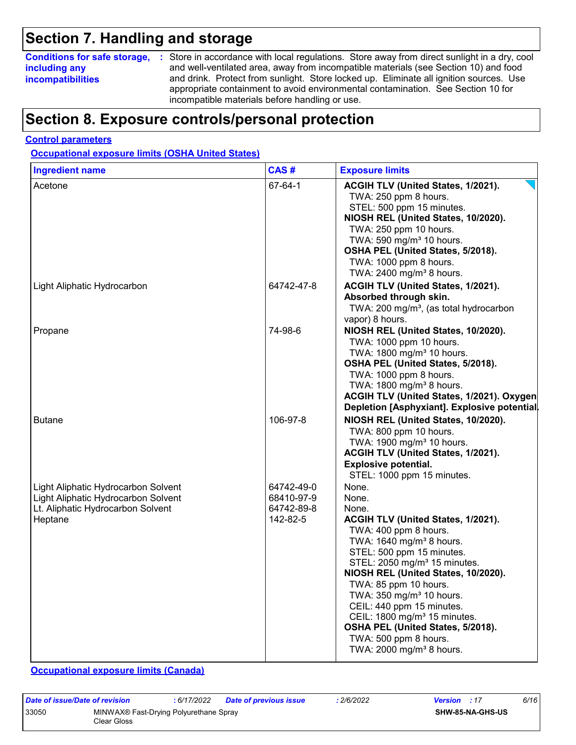### **Section 7. Handling and storage**

### **including any incompatibilities**

**Conditions for safe storage,** : Store in accordance with local regulations. Store away from direct sunlight in a dry, cool and well-ventilated area, away from incompatible materials (see Section 10) and food and drink. Protect from sunlight. Store locked up. Eliminate all ignition sources. Use appropriate containment to avoid environmental contamination. See Section 10 for incompatible materials before handling or use.

### **Section 8. Exposure controls/personal protection**

#### **Control parameters**

**Occupational exposure limits (OSHA United States)**

| <b>Ingredient name</b>                                                                                                     | CAS#                                               | <b>Exposure limits</b>                                                                                                                                                                                                                                                                                                                                                                                                                                                                         |
|----------------------------------------------------------------------------------------------------------------------------|----------------------------------------------------|------------------------------------------------------------------------------------------------------------------------------------------------------------------------------------------------------------------------------------------------------------------------------------------------------------------------------------------------------------------------------------------------------------------------------------------------------------------------------------------------|
| Acetone                                                                                                                    | 67-64-1                                            | ACGIH TLV (United States, 1/2021).<br>TWA: 250 ppm 8 hours.<br>STEL: 500 ppm 15 minutes.<br>NIOSH REL (United States, 10/2020).<br>TWA: 250 ppm 10 hours.<br>TWA: 590 mg/m <sup>3</sup> 10 hours.<br>OSHA PEL (United States, 5/2018).<br>TWA: 1000 ppm 8 hours.<br>TWA: 2400 mg/m <sup>3</sup> 8 hours.                                                                                                                                                                                       |
| Light Aliphatic Hydrocarbon                                                                                                | 64742-47-8                                         | ACGIH TLV (United States, 1/2021).<br>Absorbed through skin.<br>TWA: 200 mg/m <sup>3</sup> , (as total hydrocarbon<br>vapor) 8 hours.                                                                                                                                                                                                                                                                                                                                                          |
| Propane                                                                                                                    | 74-98-6                                            | NIOSH REL (United States, 10/2020).<br>TWA: 1000 ppm 10 hours.<br>TWA: 1800 mg/m <sup>3</sup> 10 hours.<br>OSHA PEL (United States, 5/2018).<br>TWA: 1000 ppm 8 hours.<br>TWA: 1800 mg/m <sup>3</sup> 8 hours.<br>ACGIH TLV (United States, 1/2021). Oxygen<br>Depletion [Asphyxiant]. Explosive potential.                                                                                                                                                                                    |
| <b>Butane</b>                                                                                                              | 106-97-8                                           | NIOSH REL (United States, 10/2020).<br>TWA: 800 ppm 10 hours.<br>TWA: 1900 mg/m <sup>3</sup> 10 hours.<br>ACGIH TLV (United States, 1/2021).<br><b>Explosive potential.</b><br>STEL: 1000 ppm 15 minutes.                                                                                                                                                                                                                                                                                      |
| Light Aliphatic Hydrocarbon Solvent<br>Light Aliphatic Hydrocarbon Solvent<br>Lt. Aliphatic Hydrocarbon Solvent<br>Heptane | 64742-49-0<br>68410-97-9<br>64742-89-8<br>142-82-5 | None.<br>None.<br>None.<br>ACGIH TLV (United States, 1/2021).<br>TWA: 400 ppm 8 hours.<br>TWA: 1640 mg/m <sup>3</sup> 8 hours.<br>STEL: 500 ppm 15 minutes.<br>STEL: 2050 mg/m <sup>3</sup> 15 minutes.<br>NIOSH REL (United States, 10/2020).<br>TWA: 85 ppm 10 hours.<br>TWA: 350 mg/m <sup>3</sup> 10 hours.<br>CEIL: 440 ppm 15 minutes.<br>CEIL: 1800 mg/m <sup>3</sup> 15 minutes.<br>OSHA PEL (United States, 5/2018).<br>TWA: 500 ppm 8 hours.<br>TWA: 2000 mg/m <sup>3</sup> 8 hours. |

#### **Occupational exposure limits (Canada)**

| Date of issue/Date of revision |                                                       | : 6/17/2022 | Date of previous issue | 2/6/2022 | <b>Version</b> : 17 | 6/16 |
|--------------------------------|-------------------------------------------------------|-------------|------------------------|----------|---------------------|------|
| 33050                          | MINWAX® Fast-Drying Polyurethane Spray<br>Clear Gloss |             |                        |          | SHW-85-NA-GHS-US    |      |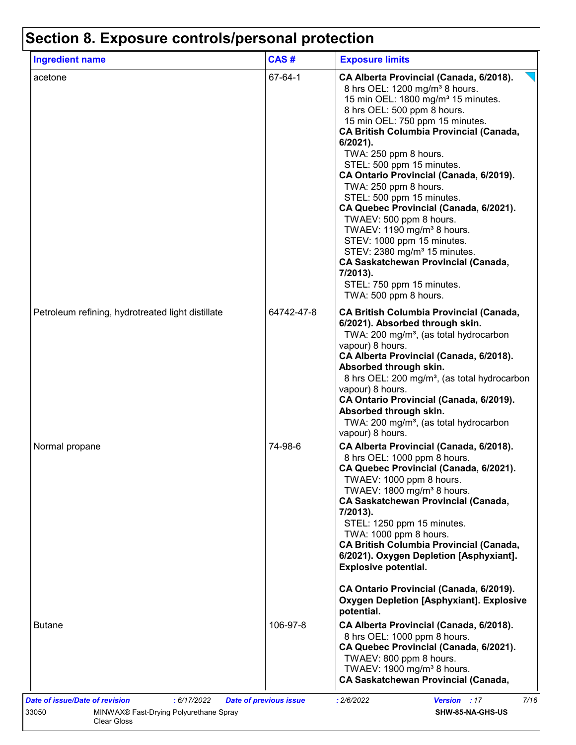| <b>Ingredient name</b>                            | CAS#       | <b>Exposure limits</b>                                                                                                                                                                                                                                                                                                                                                                                                                                                                                                                                                                                                                                                                                                                     |
|---------------------------------------------------|------------|--------------------------------------------------------------------------------------------------------------------------------------------------------------------------------------------------------------------------------------------------------------------------------------------------------------------------------------------------------------------------------------------------------------------------------------------------------------------------------------------------------------------------------------------------------------------------------------------------------------------------------------------------------------------------------------------------------------------------------------------|
| acetone                                           | 67-64-1    | CA Alberta Provincial (Canada, 6/2018).<br>8 hrs OEL: 1200 mg/m <sup>3</sup> 8 hours.<br>15 min OEL: 1800 mg/m <sup>3</sup> 15 minutes.<br>8 hrs OEL: 500 ppm 8 hours.<br>15 min OEL: 750 ppm 15 minutes.<br><b>CA British Columbia Provincial (Canada,</b><br>$6/2021$ ).<br>TWA: 250 ppm 8 hours.<br>STEL: 500 ppm 15 minutes.<br>CA Ontario Provincial (Canada, 6/2019).<br>TWA: 250 ppm 8 hours.<br>STEL: 500 ppm 15 minutes.<br>CA Quebec Provincial (Canada, 6/2021).<br>TWAEV: 500 ppm 8 hours.<br>TWAEV: 1190 mg/m <sup>3</sup> 8 hours.<br>STEV: 1000 ppm 15 minutes.<br>STEV: 2380 mg/m <sup>3</sup> 15 minutes.<br><b>CA Saskatchewan Provincial (Canada,</b><br>7/2013).<br>STEL: 750 ppm 15 minutes.<br>TWA: 500 ppm 8 hours. |
| Petroleum refining, hydrotreated light distillate | 64742-47-8 | <b>CA British Columbia Provincial (Canada,</b><br>6/2021). Absorbed through skin.<br>TWA: 200 mg/m <sup>3</sup> , (as total hydrocarbon<br>vapour) 8 hours.<br>CA Alberta Provincial (Canada, 6/2018).<br>Absorbed through skin.<br>8 hrs OEL: 200 mg/m <sup>3</sup> , (as total hydrocarbon<br>vapour) 8 hours.<br>CA Ontario Provincial (Canada, 6/2019).<br>Absorbed through skin.<br>TWA: 200 mg/m <sup>3</sup> , (as total hydrocarbon<br>vapour) 8 hours.                                                                                                                                                                                                                                                                            |
| Normal propane                                    | 74-98-6    | CA Alberta Provincial (Canada, 6/2018).<br>8 hrs OEL: 1000 ppm 8 hours.<br>CA Quebec Provincial (Canada, 6/2021).<br>TWAEV: 1000 ppm 8 hours.<br>TWAEV: 1800 mg/m <sup>3</sup> 8 hours.<br><b>CA Saskatchewan Provincial (Canada,</b><br>7/2013).<br>STEL: 1250 ppm 15 minutes.<br>TWA: 1000 ppm 8 hours.<br><b>CA British Columbia Provincial (Canada,</b><br>6/2021). Oxygen Depletion [Asphyxiant].<br><b>Explosive potential.</b>                                                                                                                                                                                                                                                                                                      |
| <b>Butane</b>                                     | 106-97-8   | CA Ontario Provincial (Canada, 6/2019).<br><b>Oxygen Depletion [Asphyxiant]. Explosive</b><br>potential.<br>CA Alberta Provincial (Canada, 6/2018).<br>8 hrs OEL: 1000 ppm 8 hours.<br>CA Quebec Provincial (Canada, 6/2021).<br>TWAEV: 800 ppm 8 hours.<br>TWAEV: 1900 mg/m <sup>3</sup> 8 hours.<br><b>CA Saskatchewan Provincial (Canada,</b>                                                                                                                                                                                                                                                                                                                                                                                           |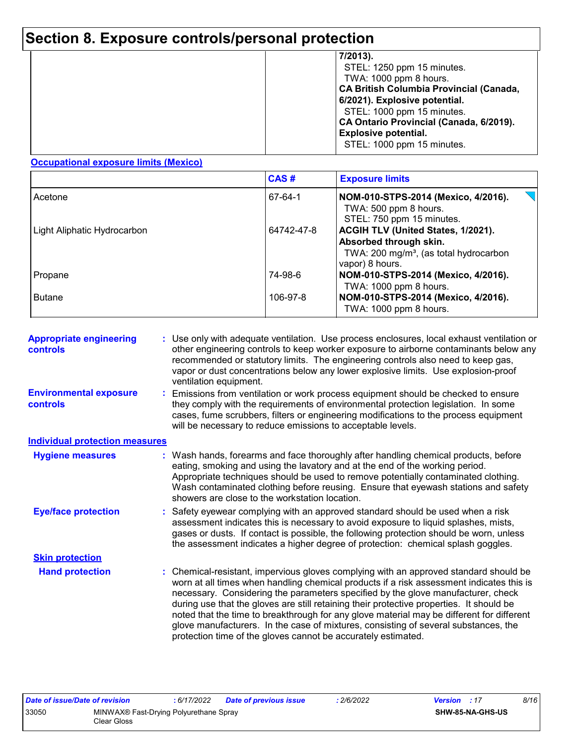# **Section 8. Exposure controls/personal protection**

|  | 7/2013).<br>STEL: 1250 ppm 15 minutes.<br>TWA: 1000 ppm 8 hours.<br><b>CA British Columbia Provincial (Canada,</b><br>6/2021). Explosive potential.<br>STEL: 1000 ppm 15 minutes.<br>CA Ontario Provincial (Canada, 6/2019).<br><b>Explosive potential.</b><br>STEL: 1000 ppm 15 minutes. |
|--|-------------------------------------------------------------------------------------------------------------------------------------------------------------------------------------------------------------------------------------------------------------------------------------------|
|--|-------------------------------------------------------------------------------------------------------------------------------------------------------------------------------------------------------------------------------------------------------------------------------------------|

#### **Occupational exposure limits (Mexico)**

|                             | CAS#       | <b>Exposure limits</b>                                                                                                                |
|-----------------------------|------------|---------------------------------------------------------------------------------------------------------------------------------------|
| Acetone                     | 67-64-1    | NOM-010-STPS-2014 (Mexico, 4/2016).<br>TWA: 500 ppm 8 hours.<br>STEL: 750 ppm 15 minutes.                                             |
| Light Aliphatic Hydrocarbon | 64742-47-8 | ACGIH TLV (United States, 1/2021).<br>Absorbed through skin.<br>TWA: 200 mg/m <sup>3</sup> , (as total hydrocarbon<br>vapor) 8 hours. |
| Propane                     | 74-98-6    | NOM-010-STPS-2014 (Mexico, 4/2016).<br>TWA: 1000 ppm 8 hours.                                                                         |
| <b>Butane</b>               | 106-97-8   | NOM-010-STPS-2014 (Mexico, 4/2016).<br>TWA: 1000 ppm 8 hours.                                                                         |

| <b>Appropriate engineering</b><br><b>controls</b> | : Use only with adequate ventilation. Use process enclosures, local exhaust ventilation or<br>other engineering controls to keep worker exposure to airborne contaminants below any<br>recommended or statutory limits. The engineering controls also need to keep gas,<br>vapor or dust concentrations below any lower explosive limits. Use explosion-proof<br>ventilation equipment.                                                                                                                                                                                                                                |
|---------------------------------------------------|------------------------------------------------------------------------------------------------------------------------------------------------------------------------------------------------------------------------------------------------------------------------------------------------------------------------------------------------------------------------------------------------------------------------------------------------------------------------------------------------------------------------------------------------------------------------------------------------------------------------|
| <b>Environmental exposure</b><br><b>controls</b>  | Emissions from ventilation or work process equipment should be checked to ensure<br>they comply with the requirements of environmental protection legislation. In some<br>cases, fume scrubbers, filters or engineering modifications to the process equipment<br>will be necessary to reduce emissions to acceptable levels.                                                                                                                                                                                                                                                                                          |
| <b>Individual protection measures</b>             |                                                                                                                                                                                                                                                                                                                                                                                                                                                                                                                                                                                                                        |
| <b>Hygiene measures</b>                           | : Wash hands, forearms and face thoroughly after handling chemical products, before<br>eating, smoking and using the lavatory and at the end of the working period.<br>Appropriate techniques should be used to remove potentially contaminated clothing.<br>Wash contaminated clothing before reusing. Ensure that eyewash stations and safety<br>showers are close to the workstation location.                                                                                                                                                                                                                      |
| <b>Eye/face protection</b>                        | : Safety eyewear complying with an approved standard should be used when a risk<br>assessment indicates this is necessary to avoid exposure to liquid splashes, mists,<br>gases or dusts. If contact is possible, the following protection should be worn, unless<br>the assessment indicates a higher degree of protection: chemical splash goggles.                                                                                                                                                                                                                                                                  |
| <b>Skin protection</b>                            |                                                                                                                                                                                                                                                                                                                                                                                                                                                                                                                                                                                                                        |
| <b>Hand protection</b>                            | : Chemical-resistant, impervious gloves complying with an approved standard should be<br>worn at all times when handling chemical products if a risk assessment indicates this is<br>necessary. Considering the parameters specified by the glove manufacturer, check<br>during use that the gloves are still retaining their protective properties. It should be<br>noted that the time to breakthrough for any glove material may be different for different<br>glove manufacturers. In the case of mixtures, consisting of several substances, the<br>protection time of the gloves cannot be accurately estimated. |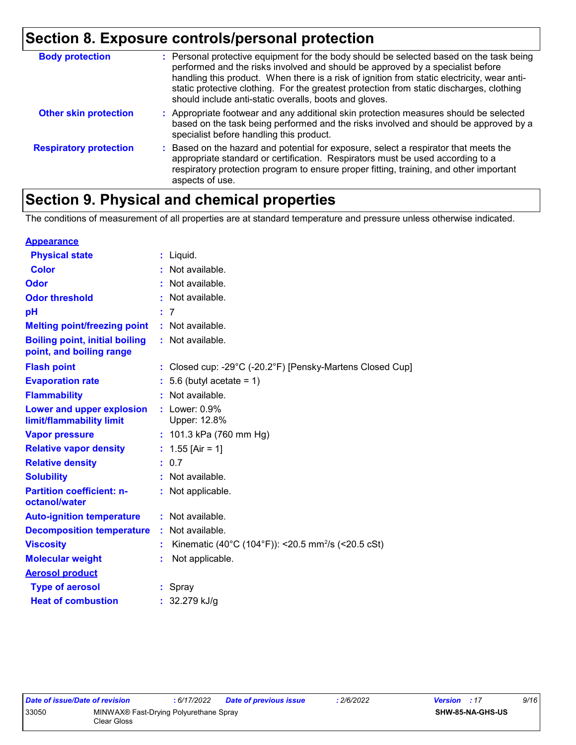# **Section 8. Exposure controls/personal protection**

| <b>Body protection</b>        | : Personal protective equipment for the body should be selected based on the task being<br>performed and the risks involved and should be approved by a specialist before<br>handling this product. When there is a risk of ignition from static electricity, wear anti-<br>static protective clothing. For the greatest protection from static discharges, clothing<br>should include anti-static overalls, boots and gloves. |
|-------------------------------|--------------------------------------------------------------------------------------------------------------------------------------------------------------------------------------------------------------------------------------------------------------------------------------------------------------------------------------------------------------------------------------------------------------------------------|
| <b>Other skin protection</b>  | : Appropriate footwear and any additional skin protection measures should be selected<br>based on the task being performed and the risks involved and should be approved by a<br>specialist before handling this product.                                                                                                                                                                                                      |
| <b>Respiratory protection</b> | : Based on the hazard and potential for exposure, select a respirator that meets the<br>appropriate standard or certification. Respirators must be used according to a<br>respiratory protection program to ensure proper fitting, training, and other important<br>aspects of use.                                                                                                                                            |

### **Section 9. Physical and chemical properties**

The conditions of measurement of all properties are at standard temperature and pressure unless otherwise indicated.

| <b>Appearance</b>                                                 |    |                                                                                 |
|-------------------------------------------------------------------|----|---------------------------------------------------------------------------------|
| <b>Physical state</b>                                             |    | $:$ Liquid.                                                                     |
| <b>Color</b>                                                      |    | Not available.                                                                  |
| <b>Odor</b>                                                       |    | Not available.                                                                  |
| <b>Odor threshold</b>                                             |    | Not available.                                                                  |
| pH                                                                |    | : 7                                                                             |
| <b>Melting point/freezing point</b>                               |    | : Not available.                                                                |
| <b>Boiling point, initial boiling</b><br>point, and boiling range |    | : Not available.                                                                |
| <b>Flash point</b>                                                |    | : Closed cup: -29 $^{\circ}$ C (-20.2 $^{\circ}$ F) [Pensky-Martens Closed Cup] |
| <b>Evaporation rate</b>                                           |    | $: 5.6$ (butyl acetate = 1)                                                     |
| <b>Flammability</b>                                               |    | : Not available.                                                                |
| Lower and upper explosion<br>limit/flammability limit             |    | $:$ Lower: $0.9\%$<br>Upper: 12.8%                                              |
| <b>Vapor pressure</b>                                             |    | : 101.3 kPa (760 mm Hg)                                                         |
| <b>Relative vapor density</b>                                     |    | : $1.55$ [Air = 1]                                                              |
| <b>Relative density</b>                                           |    | : 0.7                                                                           |
| <b>Solubility</b>                                                 |    | : Not available.                                                                |
| <b>Partition coefficient: n-</b><br>octanol/water                 |    | : Not applicable.                                                               |
| <b>Auto-ignition temperature</b>                                  |    | $:$ Not available.                                                              |
| <b>Decomposition temperature</b>                                  | ÷. | Not available.                                                                  |
| <b>Viscosity</b>                                                  |    | Kinematic (40°C (104°F)): <20.5 mm <sup>2</sup> /s (<20.5 cSt)                  |
| <b>Molecular weight</b>                                           |    | Not applicable.                                                                 |
| <b>Aerosol product</b>                                            |    |                                                                                 |
| <b>Type of aerosol</b>                                            |    | : Spray                                                                         |
| <b>Heat of combustion</b>                                         |    | : $32.279$ kJ/g                                                                 |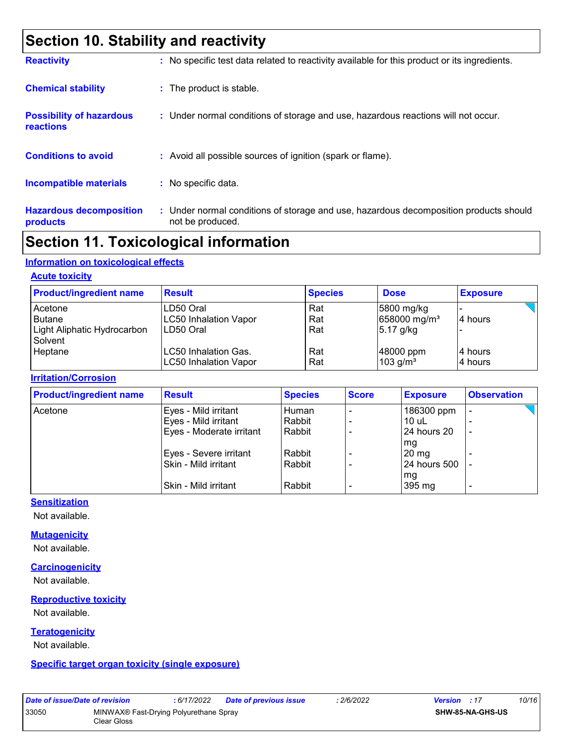### **Section 10. Stability and reactivity**

| <b>Reactivity</b>                            | : No specific test data related to reactivity available for this product or its ingredients.              |
|----------------------------------------------|-----------------------------------------------------------------------------------------------------------|
| <b>Chemical stability</b>                    | : The product is stable.                                                                                  |
| <b>Possibility of hazardous</b><br>reactions | : Under normal conditions of storage and use, hazardous reactions will not occur.                         |
| <b>Conditions to avoid</b>                   | : Avoid all possible sources of ignition (spark or flame).                                                |
| <b>Incompatible materials</b>                | : No specific data.                                                                                       |
| <b>Hazardous decomposition</b><br>products   | : Under normal conditions of storage and use, hazardous decomposition products should<br>not be produced. |

### **Section 11. Toxicological information**

#### **Information on toxicological effects**

#### **Acute toxicity**

| <b>Product/ingredient name</b>                                     | <b>Result</b>                                          | <b>Species</b>    | <b>Dose</b>                                           | <b>Exposure</b>     |
|--------------------------------------------------------------------|--------------------------------------------------------|-------------------|-------------------------------------------------------|---------------------|
| Acetone<br><b>Butane</b><br>Light Aliphatic Hydrocarbon<br>Solvent | LD50 Oral<br><b>LC50 Inhalation Vapor</b><br>LD50 Oral | Rat<br>Rat<br>Rat | 5800 mg/kg<br>658000 mg/m <sup>3</sup><br>$5.17$ g/kg | 14 hours            |
| Heptane                                                            | LC50 Inhalation Gas.<br><b>LC50 Inhalation Vapor</b>   | Rat<br>Rat        | 48000 ppm<br>$103$ g/m <sup>3</sup>                   | 14 hours<br>4 hours |

#### **Irritation/Corrosion**

| <b>Product/ingredient name</b> | <b>Result</b>            | <b>Species</b> | <b>Score</b> | <b>Exposure</b> | <b>Observation</b>       |
|--------------------------------|--------------------------|----------------|--------------|-----------------|--------------------------|
| Acetone                        | Eyes - Mild irritant     | Human          |              | 186300 ppm      | -                        |
|                                | Eyes - Mild irritant     | Rabbit         |              | $10$ uL         |                          |
|                                | Eyes - Moderate irritant | Rabbit         |              | 24 hours 20     | $\overline{\phantom{a}}$ |
|                                |                          |                |              | mg              |                          |
|                                | Eyes - Severe irritant   | Rabbit         |              | $20 \text{ mg}$ |                          |
|                                | Skin - Mild irritant     | Rabbit         |              | 24 hours 500    |                          |
|                                |                          |                |              | mg              |                          |
|                                | Skin - Mild irritant     | Rabbit         |              | 395 mg          | ٠                        |

#### **Sensitization**

Not available.

#### **Mutagenicity**

Not available.

#### **Carcinogenicity**

Not available.

#### **Reproductive toxicity**

Not available.

#### **Teratogenicity**

Not available.

**Specific target organ toxicity (single exposure)**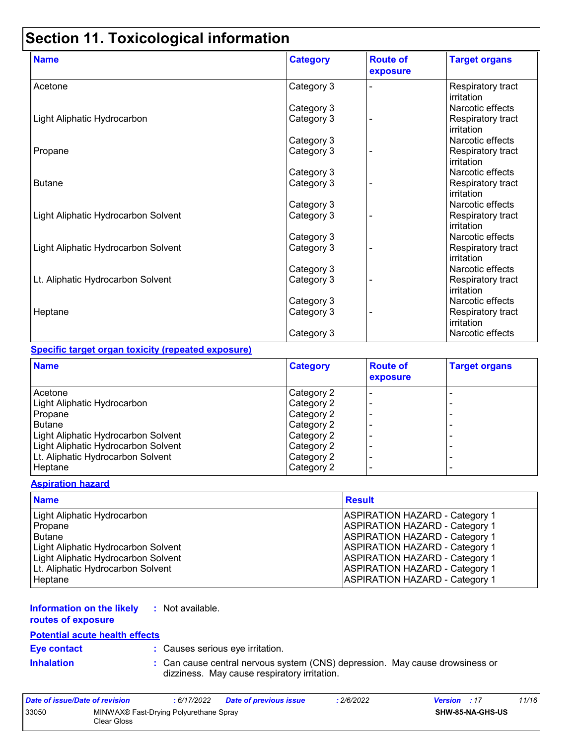# **Section 11. Toxicological information**

| <b>Name</b>                         | <b>Category</b> | <b>Route of</b><br>exposure | <b>Target organs</b>            |
|-------------------------------------|-----------------|-----------------------------|---------------------------------|
| Acetone                             | Category 3      |                             | Respiratory tract<br>irritation |
|                                     | Category 3      |                             | Narcotic effects                |
| Light Aliphatic Hydrocarbon         | Category 3      |                             | Respiratory tract<br>irritation |
|                                     | Category 3      |                             | Narcotic effects                |
| Propane                             | Category 3      |                             | Respiratory tract<br>irritation |
|                                     | Category 3      |                             | Narcotic effects                |
| <b>Butane</b>                       | Category 3      |                             | Respiratory tract<br>irritation |
|                                     | Category 3      |                             | Narcotic effects                |
| Light Aliphatic Hydrocarbon Solvent | Category 3      |                             | Respiratory tract<br>irritation |
|                                     | Category 3      |                             | Narcotic effects                |
| Light Aliphatic Hydrocarbon Solvent | Category 3      |                             | Respiratory tract<br>irritation |
|                                     | Category 3      |                             | Narcotic effects                |
| Lt. Aliphatic Hydrocarbon Solvent   | Category 3      |                             | Respiratory tract<br>irritation |
|                                     | Category 3      |                             | Narcotic effects                |
| Heptane                             | Category 3      |                             | Respiratory tract<br>irritation |
|                                     | Category 3      |                             | Narcotic effects                |

#### **Specific target organ toxicity (repeated exposure)**

| <b>Name</b>                         | <b>Category</b> | <b>Route of</b><br>exposure | <b>Target organs</b> |
|-------------------------------------|-----------------|-----------------------------|----------------------|
| Acetone                             | Category 2      |                             |                      |
| Light Aliphatic Hydrocarbon         | Category 2      |                             |                      |
| Propane                             | Category 2      |                             | -                    |
| <b>Butane</b>                       | Category 2      |                             | -                    |
| Light Aliphatic Hydrocarbon Solvent | Category 2      |                             |                      |
| Light Aliphatic Hydrocarbon Solvent | Category 2      |                             | -                    |
| Lt. Aliphatic Hydrocarbon Solvent   | Category 2      |                             | -                    |
| Heptane                             | Category 2      |                             | ۰                    |

#### **Aspiration hazard**

| <b>Name</b>                         | <b>Result</b>                         |
|-------------------------------------|---------------------------------------|
| Light Aliphatic Hydrocarbon         | <b>ASPIRATION HAZARD - Category 1</b> |
| Propane                             | <b>ASPIRATION HAZARD - Category 1</b> |
| Butane                              | <b>ASPIRATION HAZARD - Category 1</b> |
| Light Aliphatic Hydrocarbon Solvent | <b>ASPIRATION HAZARD - Category 1</b> |
| Light Aliphatic Hydrocarbon Solvent | <b>ASPIRATION HAZARD - Category 1</b> |
| Lt. Aliphatic Hydrocarbon Solvent   | <b>ASPIRATION HAZARD - Category 1</b> |
| Heptane                             | <b>ASPIRATION HAZARD - Category 1</b> |

#### **Information on the likely :** Not available.

**routes of exposure**

#### **Potential acute health effects**

**Eye contact :** Causes serious eye irritation.

**Inhalation <b>:** Can cause central nervous system (CNS) depression. May cause drowsiness or dizziness. May cause respiratory irritation.

| Date of issue/Date of revision |                                                       | : 6/17/2022 | <b>Date of previous issue</b> | : 2/6/2022 | <b>Version</b> : 17 |                         | 11/16 |
|--------------------------------|-------------------------------------------------------|-------------|-------------------------------|------------|---------------------|-------------------------|-------|
| 33050                          | MINWAX® Fast-Drying Polyurethane Spray<br>Clear Gloss |             |                               |            |                     | <b>SHW-85-NA-GHS-US</b> |       |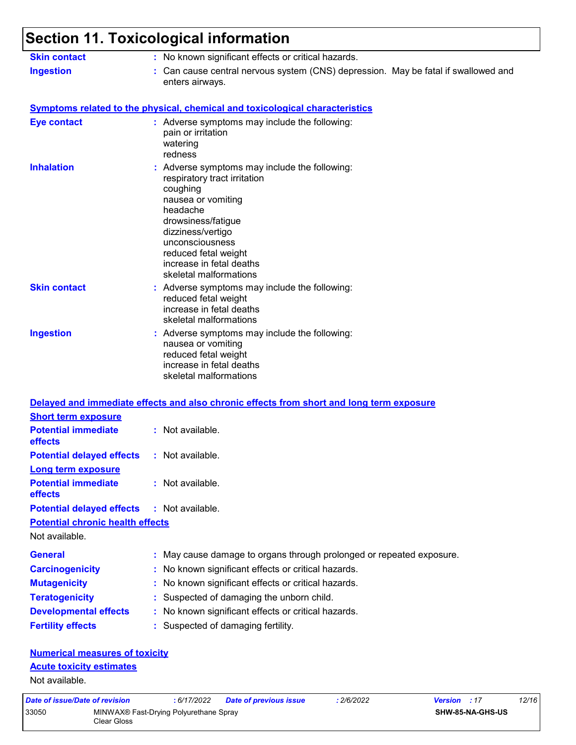#### **Section 11. Toxicological information** Not available. Can cause central nervous system (CNS) depression. May be fatal if swallowed and enters airways. **Ingestion : Skin contact :** No known significant effects or critical hazards. **General :** May cause damage to organs through prolonged or repeated exposure. **Carcinogenicity :** No known significant effects or critical hazards. **Mutagenicity :** No known significant effects or critical hazards. **Teratogenicity :** Suspected of damaging the unborn child. **Developmental effects :** No known significant effects or critical hazards. **Fertility effects :** Suspected of damaging fertility. **Symptoms related to the physical, chemical and toxicological characteristics Skin contact Ingestion Inhalation Conservent Conserverse symptoms may include the following:** respiratory tract irritation coughing nausea or vomiting headache drowsiness/fatigue dizziness/vertigo unconsciousness reduced fetal weight increase in fetal deaths skeletal malformations Adverse symptoms may include the following: **:** nausea or vomiting reduced fetal weight increase in fetal deaths skeletal malformations Adverse symptoms may include the following: **:** reduced fetal weight increase in fetal deaths skeletal malformations **Eye contact :** Adverse symptoms may include the following: pain or irritation watering redness **Potential chronic health effects Delayed and immediate effects and also chronic effects from short and long term exposure Numerical measures of toxicity Acute toxicity estimates Potential immediate effects :** Not available. **Short term exposure Potential delayed effects :** Not available. **Potential immediate effects :** Not available. **Long term exposure Potential delayed effects :** Not available.

Not available.

*Date of issue/Date of revision* **:** *6/17/2022 Date of previous issue : 2/6/2022 Version : 17 12/16* 33050 MINWAX® Fast-Drying Polyurethane Spray Clear Gloss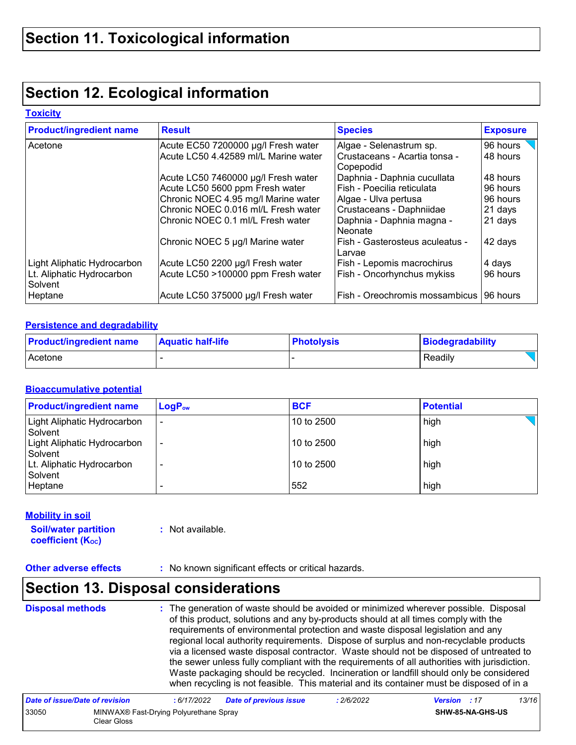### **Section 12. Ecological information**

#### **Toxicity**

| <b>Product/ingredient name</b>       | <b>Result</b>                        | <b>Species</b>                             | <b>Exposure</b> |
|--------------------------------------|--------------------------------------|--------------------------------------------|-----------------|
| Acetone                              | Acute EC50 7200000 µg/l Fresh water  | Algae - Selenastrum sp.                    | 96 hours        |
|                                      | Acute LC50 4.42589 ml/L Marine water | Crustaceans - Acartia tonsa -<br>Copepodid | 48 hours        |
|                                      | Acute LC50 7460000 µg/l Fresh water  | Daphnia - Daphnia cucullata                | 48 hours        |
|                                      | Acute LC50 5600 ppm Fresh water      | Fish - Poecilia reticulata                 | 96 hours        |
|                                      | Chronic NOEC 4.95 mg/l Marine water  | Algae - Ulva pertusa                       | 96 hours        |
|                                      | Chronic NOEC 0.016 ml/L Fresh water  | Crustaceans - Daphniidae                   | 21 days         |
|                                      | Chronic NOEC 0.1 ml/L Fresh water    | Daphnia - Daphnia magna -<br>Neonate       | 21 days         |
|                                      | Chronic NOEC 5 µg/l Marine water     | Fish - Gasterosteus aculeatus -<br>Larvae  | 42 days         |
| Light Aliphatic Hydrocarbon          | Acute LC50 2200 µg/l Fresh water     | Fish - Lepomis macrochirus                 | 4 days          |
| Lt. Aliphatic Hydrocarbon<br>Solvent | Acute LC50 >100000 ppm Fresh water   | Fish - Oncorhynchus mykiss                 | 96 hours        |
| Heptane                              | Acute LC50 375000 µg/l Fresh water   | Fish - Oreochromis mossambicus             | 196 hours       |

#### **Persistence and degradability**

| <b>Product/ingredient name</b> | <b>Aquatic half-life</b> | <b>Photolysis</b> | <b>Biodegradability</b> |
|--------------------------------|--------------------------|-------------------|-------------------------|
| Acetone                        |                          |                   | Readily                 |

#### **Bioaccumulative potential**

| <b>Product/ingredient name</b>         | $LogP_{ow}$ | <b>BCF</b> | <b>Potential</b> |
|----------------------------------------|-------------|------------|------------------|
| Light Aliphatic Hydrocarbon<br>Solvent | ٠           | 10 to 2500 | high             |
| Light Aliphatic Hydrocarbon<br>Solvent | ٠           | 10 to 2500 | high             |
| Lt. Aliphatic Hydrocarbon<br>Solvent   | ۰           | 10 to 2500 | high             |
| Heptane                                |             | 552        | high             |

#### **Mobility in soil**

**Soil/water partition coefficient (K**<sub>oc</sub>)

**:** Not available.

**Other adverse effects** : No known significant effects or critical hazards.

### **Section 13. Disposal considerations**

**Disposal methods :**

The generation of waste should be avoided or minimized wherever possible. Disposal of this product, solutions and any by-products should at all times comply with the requirements of environmental protection and waste disposal legislation and any regional local authority requirements. Dispose of surplus and non-recyclable products via a licensed waste disposal contractor. Waste should not be disposed of untreated to the sewer unless fully compliant with the requirements of all authorities with jurisdiction. Waste packaging should be recycled. Incineration or landfill should only be considered when recycling is not feasible. This material and its container must be disposed of in a

| Date of issue/Date of revision |                                                       | : 6/17/2022 | <b>Date of previous issue</b> | : 2/6/2022 | <b>Version</b> : 17 |                         | 13/16 |
|--------------------------------|-------------------------------------------------------|-------------|-------------------------------|------------|---------------------|-------------------------|-------|
| 33050                          | MINWAX® Fast-Drying Polyurethane Spray<br>Clear Gloss |             |                               |            |                     | <b>SHW-85-NA-GHS-US</b> |       |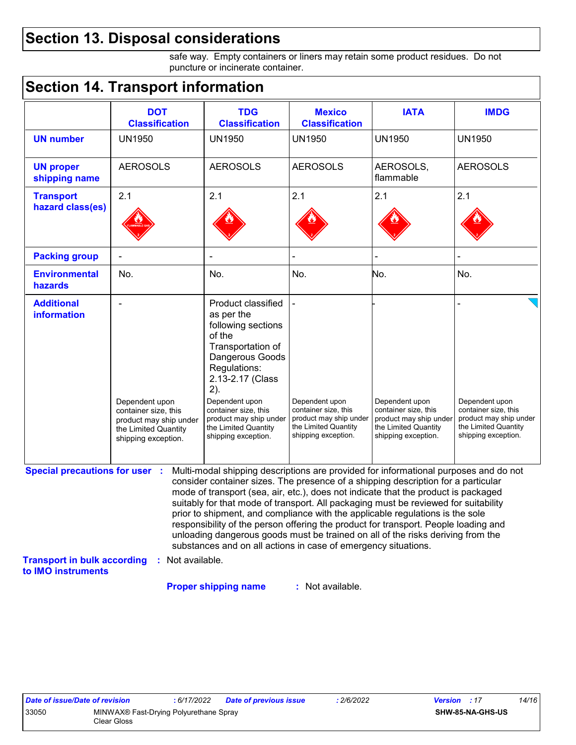### **Section 13. Disposal considerations**

safe way. Empty containers or liners may retain some product residues. Do not puncture or incinerate container.

### **Section 14. Transport information**

|                                       | <b>DOT</b><br><b>Classification</b>                                                                             | <b>TDG</b><br><b>Classification</b>                                                                                                                                                                                                                                                                                                                                                                                                                                                                                                                                                                                                                                                 | <b>Mexico</b><br><b>Classification</b>                                                                          | <b>IATA</b>                                                                                                     | <b>IMDG</b>                                                                                                     |
|---------------------------------------|-----------------------------------------------------------------------------------------------------------------|-------------------------------------------------------------------------------------------------------------------------------------------------------------------------------------------------------------------------------------------------------------------------------------------------------------------------------------------------------------------------------------------------------------------------------------------------------------------------------------------------------------------------------------------------------------------------------------------------------------------------------------------------------------------------------------|-----------------------------------------------------------------------------------------------------------------|-----------------------------------------------------------------------------------------------------------------|-----------------------------------------------------------------------------------------------------------------|
| <b>UN number</b>                      | <b>UN1950</b>                                                                                                   | <b>UN1950</b>                                                                                                                                                                                                                                                                                                                                                                                                                                                                                                                                                                                                                                                                       | <b>UN1950</b>                                                                                                   | <b>UN1950</b>                                                                                                   | <b>UN1950</b>                                                                                                   |
| <b>UN proper</b><br>shipping name     | <b>AEROSOLS</b>                                                                                                 | <b>AEROSOLS</b>                                                                                                                                                                                                                                                                                                                                                                                                                                                                                                                                                                                                                                                                     | <b>AEROSOLS</b>                                                                                                 | AEROSOLS,<br>flammable                                                                                          | <b>AEROSOLS</b>                                                                                                 |
| <b>Transport</b>                      | 2.1                                                                                                             | 2.1                                                                                                                                                                                                                                                                                                                                                                                                                                                                                                                                                                                                                                                                                 | 2.1                                                                                                             | 2.1                                                                                                             | 2.1                                                                                                             |
| hazard class(es)                      |                                                                                                                 |                                                                                                                                                                                                                                                                                                                                                                                                                                                                                                                                                                                                                                                                                     |                                                                                                                 |                                                                                                                 |                                                                                                                 |
| <b>Packing group</b>                  |                                                                                                                 |                                                                                                                                                                                                                                                                                                                                                                                                                                                                                                                                                                                                                                                                                     |                                                                                                                 |                                                                                                                 |                                                                                                                 |
| <b>Environmental</b><br>hazards       | No.                                                                                                             | No.                                                                                                                                                                                                                                                                                                                                                                                                                                                                                                                                                                                                                                                                                 | No.                                                                                                             | No.                                                                                                             | No.                                                                                                             |
| <b>Additional</b><br>information      | Dependent upon<br>container size, this<br>product may ship under<br>the Limited Quantity<br>shipping exception. | Product classified<br>as per the<br>following sections<br>of the<br>Transportation of<br>Dangerous Goods<br>Regulations:<br>2.13-2.17 (Class<br>2).<br>Dependent upon<br>container size, this<br>product may ship under<br>the Limited Quantity<br>shipping exception.                                                                                                                                                                                                                                                                                                                                                                                                              | Dependent upon<br>container size, this<br>product may ship under<br>the Limited Quantity<br>shipping exception. | Dependent upon<br>container size, this<br>product may ship under<br>the Limited Quantity<br>shipping exception. | Dependent upon<br>container size, this<br>product may ship under<br>the Limited Quantity<br>shipping exception. |
| <b>Special precautions for user :</b> |                                                                                                                 | Multi-modal shipping descriptions are provided for informational purposes and do not<br>consider container sizes. The presence of a shipping description for a particular<br>mode of transport (sea, air, etc.), does not indicate that the product is packaged<br>suitably for that mode of transport. All packaging must be reviewed for suitability<br>prior to shipment, and compliance with the applicable regulations is the sole<br>responsibility of the person offering the product for transport. People loading and<br>unloading dangerous goods must be trained on all of the risks deriving from the<br>substances and on all actions in case of emergency situations. |                                                                                                                 |                                                                                                                 |                                                                                                                 |

**Proper shipping name :**

: Not available.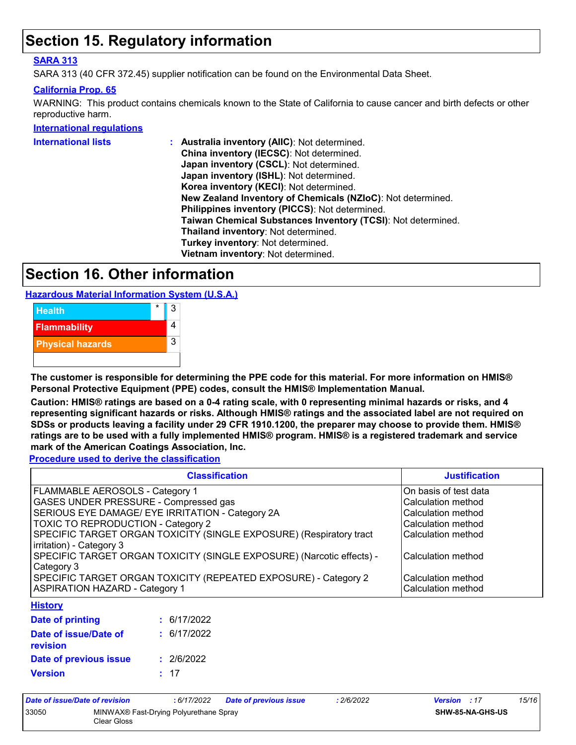### **Section 15. Regulatory information**

#### **SARA 313**

SARA 313 (40 CFR 372.45) supplier notification can be found on the Environmental Data Sheet.

#### **California Prop. 65**

WARNING: This product contains chemicals known to the State of California to cause cancer and birth defects or other reproductive harm.

#### **International regulations**

| <b>International lists</b> | Australia inventory (AllC): Not determined.                  |
|----------------------------|--------------------------------------------------------------|
|                            | China inventory (IECSC): Not determined.                     |
|                            | Japan inventory (CSCL): Not determined.                      |
|                            | Japan inventory (ISHL): Not determined.                      |
|                            | Korea inventory (KECI): Not determined.                      |
|                            | New Zealand Inventory of Chemicals (NZIoC): Not determined.  |
|                            | Philippines inventory (PICCS): Not determined.               |
|                            | Taiwan Chemical Substances Inventory (TCSI): Not determined. |
|                            | Thailand inventory: Not determined.                          |
|                            | Turkey inventory: Not determined.                            |
|                            | Vietnam inventory: Not determined.                           |
|                            |                                                              |

### **Section 16. Other information**

**Hazardous Material Information System (U.S.A.)**



**The customer is responsible for determining the PPE code for this material. For more information on HMIS® Personal Protective Equipment (PPE) codes, consult the HMIS® Implementation Manual.**

**Caution: HMIS® ratings are based on a 0-4 rating scale, with 0 representing minimal hazards or risks, and 4 representing significant hazards or risks. Although HMIS® ratings and the associated label are not required on SDSs or products leaving a facility under 29 CFR 1910.1200, the preparer may choose to provide them. HMIS® ratings are to be used with a fully implemented HMIS® program. HMIS® is a registered trademark and service mark of the American Coatings Association, Inc.**

**Procedure used to derive the classification**

| <b>Classification</b>                                                 | <b>Justification</b>  |
|-----------------------------------------------------------------------|-----------------------|
| FLAMMABLE AEROSOLS - Category 1                                       | On basis of test data |
| <b>GASES UNDER PRESSURE - Compressed gas</b>                          | Calculation method    |
| SERIOUS EYE DAMAGE/ EYE IRRITATION - Category 2A                      | Calculation method    |
| <b>TOXIC TO REPRODUCTION - Category 2</b>                             | Calculation method    |
| SPECIFIC TARGET ORGAN TOXICITY (SINGLE EXPOSURE) (Respiratory tract   | Calculation method    |
| irritation) - Category 3                                              |                       |
| SPECIFIC TARGET ORGAN TOXICITY (SINGLE EXPOSURE) (Narcotic effects) - | Calculation method    |
| Category 3                                                            |                       |
| SPECIFIC TARGET ORGAN TOXICITY (REPEATED EXPOSURE) - Category 2       | Calculation method    |
| <b>ASPIRATION HAZARD - Category 1</b>                                 | Calculation method    |
| <b>History</b>                                                        |                       |

| Date of printing                  | : 6/17/2022 |
|-----------------------------------|-------------|
| Date of issue/Date of<br>revision | : 6/17/2022 |
| Date of previous issue            | : 2/6/2022  |
| <b>Version</b>                    | : 17        |